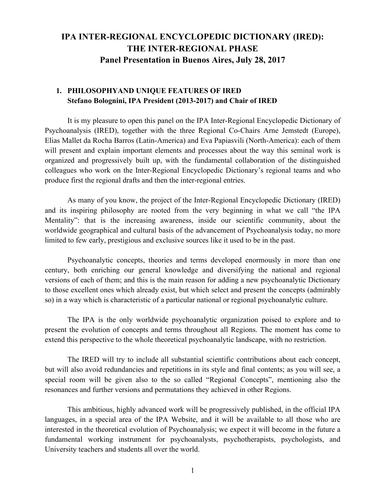# **IPA INTER-REGIONAL ENCYCLOPEDIC DICTIONARY (IRED): THE INTER-REGIONAL PHASE Panel Presentation in Buenos Aires, July 28, 2017**

#### **1. PHILOSOPHYAND UNIQUE FEATURES OF IRED Stefano Bolognini, IPA President (2013-2017) and Chair of IRED**

It is my pleasure to open this panel on the IPA Inter-Regional Encyclopedic Dictionary of Psychoanalysis (IRED), together with the three Regional Co-Chairs Arne Jemstedt (Europe), Elias Mallet da Rocha Barros (Latin-America) and Eva Papiasvili (North-America): each of them will present and explain important elements and processes about the way this seminal work is organized and progressively built up, with the fundamental collaboration of the distinguished colleagues who work on the Inter-Regional Encyclopedic Dictionary's regional teams and who produce first the regional drafts and then the inter-regional entries.

As many of you know, the project of the Inter-Regional Encyclopedic Dictionary (IRED) and its inspiring philosophy are rooted from the very beginning in what we call "the IPA Mentality": that is the increasing awareness, inside our scientific community, about the worldwide geographical and cultural basis of the advancement of Psychoanalysis today, no more limited to few early, prestigious and exclusive sources like it used to be in the past.

Psychoanalytic concepts, theories and terms developed enormously in more than one century, both enriching our general knowledge and diversifying the national and regional versions of each of them; and this is the main reason for adding a new psychoanalytic Dictionary to those excellent ones which already exist, but which select and present the concepts (admirably so) in a way which is characteristic of a particular national or regional psychoanalytic culture.

The IPA is the only worldwide psychoanalytic organization poised to explore and to present the evolution of concepts and terms throughout all Regions. The moment has come to extend this perspective to the whole theoretical psychoanalytic landscape, with no restriction.

The IRED will try to include all substantial scientific contributions about each concept, but will also avoid redundancies and repetitions in its style and final contents; as you will see, a special room will be given also to the so called "Regional Concepts", mentioning also the resonances and further versions and permutations they achieved in other Regions.

This ambitious, highly advanced work will be progressively published, in the official IPA languages, in a special area of the IPA Website, and it will be available to all those who are interested in the theoretical evolution of Psychoanalysis; we expect it will become in the future a fundamental working instrument for psychoanalysts, psychotherapists, psychologists, and University teachers and students all over the world.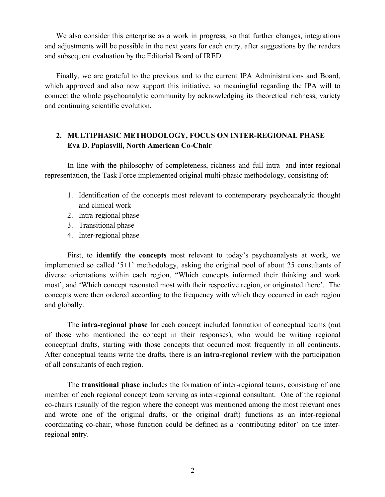We also consider this enterprise as a work in progress, so that further changes, integrations and adjustments will be possible in the next years for each entry, after suggestions by the readers and subsequent evaluation by the Editorial Board of IRED.

Finally, we are grateful to the previous and to the current IPA Administrations and Board, which approved and also now support this initiative, so meaningful regarding the IPA will to connect the whole psychoanalytic community by acknowledging its theoretical richness, variety and continuing scientific evolution.

### **2. MULTIPHASIC METHODOLOGY, FOCUS ON INTER-REGIONAL PHASE Eva D. Papiasvili, North American Co-Chair**

In line with the philosophy of completeness, richness and full intra- and inter-regional representation, the Task Force implemented original multi-phasic methodology, consisting of:

- 1. Identification of the concepts most relevant to contemporary psychoanalytic thought and clinical work
- 2. Intra-regional phase
- 3. Transitional phase
- 4. Inter-regional phase

First, to **identify the concepts** most relevant to today's psychoanalysts at work, we implemented so called '5+1' methodology, asking the original pool of about 25 consultants of diverse orientations within each region, "Which concepts informed their thinking and work most', and 'Which concept resonated most with their respective region, or originated there'. The concepts were then ordered according to the frequency with which they occurred in each region and globally.

The **intra-regional phase** for each concept included formation of conceptual teams (out of those who mentioned the concept in their responses), who would be writing regional conceptual drafts, starting with those concepts that occurred most frequently in all continents. After conceptual teams write the drafts, there is an **intra-regional review** with the participation of all consultants of each region.

The **transitional phase** includes the formation of inter-regional teams, consisting of one member of each regional concept team serving as inter-regional consultant. One of the regional co-chairs (usually of the region where the concept was mentioned among the most relevant ones and wrote one of the original drafts, or the original draft) functions as an inter-regional coordinating co-chair, whose function could be defined as a 'contributing editor' on the interregional entry.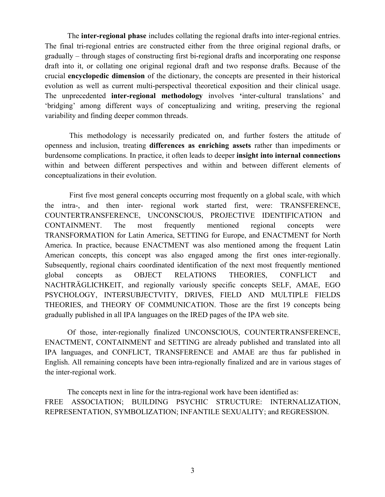The **inter-regional phase** includes collating the regional drafts into inter-regional entries. The final tri-regional entries are constructed either from the three original regional drafts, or gradually – through stages of constructing first bi-regional drafts and incorporating one response draft into it, or collating one original regional draft and two response drafts. Because of the crucial **encyclopedic dimension** of the dictionary, the concepts are presented in their historical evolution as well as current multi-perspectival theoretical exposition and their clinical usage. The unprecedented **inter-regional methodology** involves **'**inter-cultural translations' and 'bridging' among different ways of conceptualizing and writing, preserving the regional variability and finding deeper common threads.

This methodology is necessarily predicated on, and further fosters the attitude of openness and inclusion, treating **differences as enriching assets** rather than impediments or burdensome complications. In practice, it often leads to deeper **insight into internal connections** within and between different perspectives and within and between different elements of conceptualizations in their evolution.

First five most general concepts occurring most frequently on a global scale, with which the intra-, and then inter- regional work started first, were: TRANSFERENCE, COUNTERTRANSFERENCE, UNCONSCIOUS, PROJECTIVE IDENTIFICATION and CONTAINMENT. The most frequently mentioned regional concepts were TRANSFORMATION for Latin America, SETTING for Europe, and ENACTMENT for North America. In practice, because ENACTMENT was also mentioned among the frequent Latin American concepts, this concept was also engaged among the first ones inter-regionally. Subsequently, regional chairs coordinated identification of the next most frequently mentioned global concepts as OBJECT RELATIONS THEORIES, CONFLICT and NACHTRÄGLICHKEIT, and regionally variously specific concepts SELF, AMAE, EGO PSYCHOLOGY, INTERSUBJECTVITY, DRIVES, FIELD AND MULTIPLE FIELDS THEORIES, and THEORY OF COMMUNICATION. Those are the first 19 concepts being gradually published in all IPA languages on the IRED pages of the IPA web site.

Of those, inter-regionally finalized UNCONSCIOUS, COUNTERTRANSFERENCE, ENACTMENT, CONTAINMENT and SETTING are already published and translated into all IPA languages, and CONFLICT, TRANSFERENCE and AMAE are thus far published in English. All remaining concepts have been intra-regionally finalized and are in various stages of the inter-regional work.

The concepts next in line for the intra-regional work have been identified as: FREE ASSOCIATION; BUILDING PSYCHIC STRUCTURE: INTERNALIZATION, REPRESENTATION, SYMBOLIZATION; INFANTILE SEXUALITY; and REGRESSION.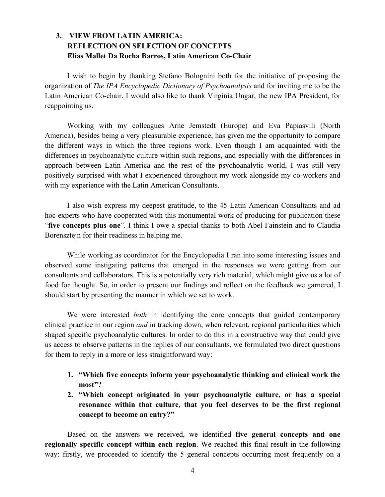### **3. VIEW FROM LATIN AMERICA: REFLECTION ON SELECTION OF CONCEPTS Elias Mallet Da Rocha Barros, Latin American Co-Chair**

I wish to begin by thanking Stefano Bolognini both for the initiative of proposing the organization of *The IPA Encyclopedic Dictionary of Psychoanalysis* and for inviting me to be the Latin American Co-chair. I would also like to thank Virginia Ungar, the new IPA President, for reappointing us.

Working with my colleagues Arne Jemstedt (Europe) and Eva Papiasvili (North America), besides being a very pleasurable experience, has given me the opportunity to compare the different ways in which the three regions work. Even though I am acquainted with the differences in psychoanalytic culture within such regions, and especially with the differences in approach between Latin America and the rest of the psychoanalytic world, I was still very positively surprised with what I experienced throughout my work alongside my co-workers and with my experience with the Latin American Consultants.

I also wish express my deepest gratitude, to the 45 Latin American Consultants and ad hoc experts who have cooperated with this monumental work of producing for publication these "**five concepts plus one**". I think I owe a special thanks to both Abel Fainstein and to Claudia Borensztejn for their readiness in helping me.

While working as coordinator for the Encyclopedia I ran into some interesting issues and observed some instigating patterns that emerged in the responses we were getting from our consultants and collaborators. This is a potentially very rich material, which might give us a lot of food for thought. So, in order to present our findings and reflect on the feedback we garnered, I should start by presenting the manner in which we set to work.

We were interested *both* in identifying the core concepts that guided contemporary clinical practice in our region *and* in tracking down, when relevant, regional particularities which shaped specific psychoanalytic cultures. In order to do this in a constructive way that could give us access to observe patterns in the replies of our consultants, we formulated two direct questions for them to reply in a more or less straightforward way:

- **1. "Which five concepts inform your psychoanalytic thinking and clinical work the most"?**
- **2. "Which concept originated in your psychoanalytic culture, or has a special resonance within that culture, that you feel deserves to be the first regional concept to become an entry?"**

Based on the answers we received, we identified **five general concepts and one regionally specific concept within each region**. We reached this final result in the following way: firstly, we proceeded to identify the 5 general concepts occurring most frequently on a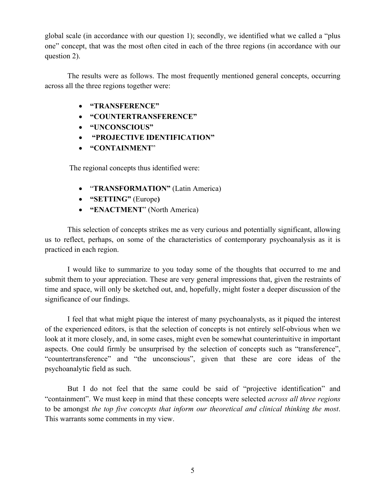global scale (in accordance with our question 1); secondly, we identified what we called a "plus one" concept, that was the most often cited in each of the three regions (in accordance with our question 2).

The results were as follows. The most frequently mentioned general concepts, occurring across all the three regions together were:

- **"TRANSFERENCE"**
- **"COUNTERTRANSFERENCE"**
- **"UNCONSCIOUS"**
- **"PROJECTIVE IDENTIFICATION"**
- **"CONTAINMENT**"

The regional concepts thus identified were:

- "**TRANSFORMATION"** (Latin America)
- **"SETTING"** (Europe**)**
- **"ENACTMENT**" (North America)

This selection of concepts strikes me as very curious and potentially significant, allowing us to reflect, perhaps, on some of the characteristics of contemporary psychoanalysis as it is practiced in each region.

I would like to summarize to you today some of the thoughts that occurred to me and submit them to your appreciation. These are very general impressions that, given the restraints of time and space, will only be sketched out, and, hopefully, might foster a deeper discussion of the significance of our findings.

I feel that what might pique the interest of many psychoanalysts, as it piqued the interest of the experienced editors, is that the selection of concepts is not entirely self-obvious when we look at it more closely, and, in some cases, might even be somewhat counterintuitive in important aspects. One could firmly be unsurprised by the selection of concepts such as "transference", "countertransference" and "the unconscious", given that these are core ideas of the psychoanalytic field as such.

But I do not feel that the same could be said of "projective identification" and "containment". We must keep in mind that these concepts were selected *across all three regions*  to be amongst *the top five concepts that inform our theoretical and clinical thinking the most*. This warrants some comments in my view.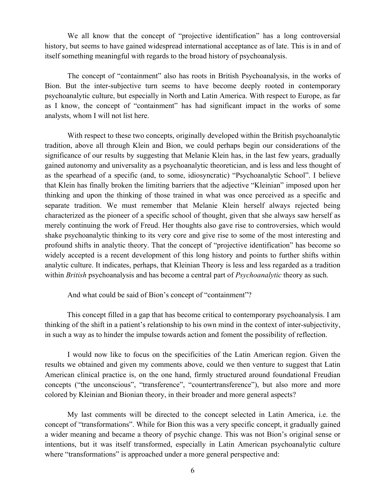We all know that the concept of "projective identification" has a long controversial history, but seems to have gained widespread international acceptance as of late. This is in and of itself something meaningful with regards to the broad history of psychoanalysis.

The concept of "containment" also has roots in British Psychoanalysis, in the works of Bion. But the inter-subjective turn seems to have become deeply rooted in contemporary psychoanalytic culture, but especially in North and Latin America. With respect to Europe, as far as I know, the concept of "containment" has had significant impact in the works of some analysts, whom I will not list here.

With respect to these two concepts, originally developed within the British psychoanalytic tradition, above all through Klein and Bion, we could perhaps begin our considerations of the significance of our results by suggesting that Melanie Klein has, in the last few years, gradually gained autonomy and universality as a psychoanalytic theoretician, and is less and less thought of as the spearhead of a specific (and, to some, idiosyncratic) "Psychoanalytic School". I believe that Klein has finally broken the limiting barriers that the adjective "Kleinian" imposed upon her thinking and upon the thinking of those trained in what was once perceived as a specific and separate tradition. We must remember that Melanie Klein herself always rejected being characterized as the pioneer of a specific school of thought, given that she always saw herself as merely continuing the work of Freud. Her thoughts also gave rise to controversies, which would shake psychoanalytic thinking to its very core and give rise to some of the most interesting and profound shifts in analytic theory. That the concept of "projective identification" has become so widely accepted is a recent development of this long history and points to further shifts within analytic culture. It indicates, perhaps, that Kleinian Theory is less and less regarded as a tradition within *British* psychoanalysis and has become a central part of *Psychoanalytic* theory as such.

And what could be said of Bion's concept of "containment"?

This concept filled in a gap that has become critical to contemporary psychoanalysis. I am thinking of the shift in a patient's relationship to his own mind in the context of inter-subjectivity, in such a way as to hinder the impulse towards action and foment the possibility of reflection.

I would now like to focus on the specificities of the Latin American region. Given the results we obtained and given my comments above, could we then venture to suggest that Latin American clinical practice is, on the one hand, firmly structured around foundational Freudian concepts ("the unconscious", "transference", "countertransference"), but also more and more colored by Kleinian and Bionian theory, in their broader and more general aspects?

My last comments will be directed to the concept selected in Latin America, i.e. the concept of "transformations". While for Bion this was a very specific concept, it gradually gained a wider meaning and became a theory of psychic change. This was not Bion's original sense or intentions, but it was itself transformed, especially in Latin American psychoanalytic culture where "transformations" is approached under a more general perspective and: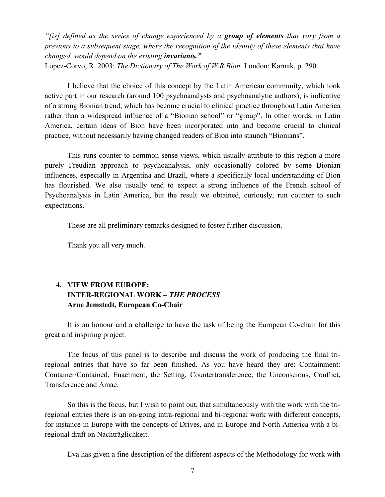*"[is] defined as the series of change experienced by a group of elements that vary from a previous to a subsequent stage, where the recognition of the identity of these elements that have changed, would depend on the existing invariants."* 

Lopez-Corvo, R. 2003: *The Dictionary of The Work of W.R.Bion.* London: Karnak, p. 290.

I believe that the choice of this concept by the Latin American community, which took active part in our research (around 100 psychoanalysts and psychoanalytic authors), is indicative of a strong Bionian trend, which has become crucial to clinical practice throughout Latin America rather than a widespread influence of a "Bionian school" or "group". In other words, in Latin America, certain ideas of Bion have been incorporated into and become crucial to clinical practice, without necessarily having changed readers of Bion into staunch "Bionians".

This runs counter to common sense views, which usually attribute to this region a more purely Freudian approach to psychoanalysis, only occasionally colored by some Bionian influences, especially in Argentina and Brazil, where a specifically local understanding of Bion has flourished. We also usually tend to expect a strong influence of the French school of Psychoanalysis in Latin America, but the result we obtained, curiously, run counter to such expectations.

These are all preliminary remarks designed to foster further discussion.

Thank you all very much.

## **4. VIEW FROM EUROPE: INTER-REGIONAL WORK –** *THE PROCESS* **Arne Jemstedt, European Co-Chair**

It is an honour and a challenge to have the task of being the European Co-chair for this great and inspiring project.

The focus of this panel is to describe and discuss the work of producing the final triregional entries that have so far been finished. As you have heard they are: Containment: Container/Contained, Enactment, the Setting, Countertransference, the Unconscious, Conflict, Transference and Amae.

So this is the focus, but I wish to point out, that simultaneously with the work with the triregional entries there is an on-going intra-regional and bi-regional work with different concepts, for instance in Europe with the concepts of Drives, and in Europe and North America with a biregional draft on Nachträglichkeit.

Eva has given a fine description of the different aspects of the Methodology for work with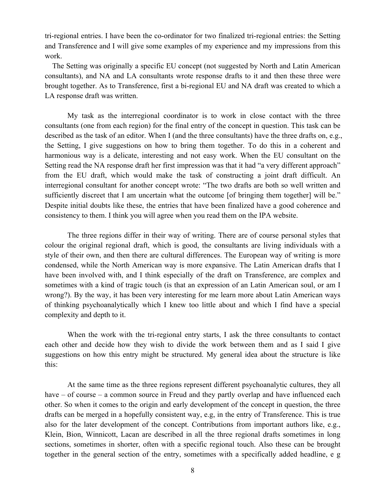tri-regional entries. I have been the co-ordinator for two finalized tri-regional entries: the Setting and Transference and I will give some examples of my experience and my impressions from this work.

 The Setting was originally a specific EU concept (not suggested by North and Latin American consultants), and NA and LA consultants wrote response drafts to it and then these three were brought together. As to Transference, first a bi-regional EU and NA draft was created to which a LA response draft was written.

My task as the interregional coordinator is to work in close contact with the three consultants (one from each region) for the final entry of the concept in question. This task can be described as the task of an editor. When I (and the three consultants) have the three drafts on, e.g., the Setting, I give suggestions on how to bring them together. To do this in a coherent and harmonious way is a delicate, interesting and not easy work. When the EU consultant on the Setting read the NA response draft her first impression was that it had "a very different approach" from the EU draft, which would make the task of constructing a joint draft difficult. An interregional consultant for another concept wrote: "The two drafts are both so well written and sufficiently discreet that I am uncertain what the outcome [of bringing them together] will be." Despite initial doubts like these, the entries that have been finalized have a good coherence and consistency to them. I think you will agree when you read them on the IPA website.

The three regions differ in their way of writing. There are of course personal styles that colour the original regional draft, which is good, the consultants are living individuals with a style of their own, and then there are cultural differences. The European way of writing is more condensed, while the North American way is more expansive. The Latin American drafts that I have been involved with, and I think especially of the draft on Transference, are complex and sometimes with a kind of tragic touch (is that an expression of an Latin American soul, or am I wrong?). By the way, it has been very interesting for me learn more about Latin American ways of thinking psychoanalytically which I knew too little about and which I find have a special complexity and depth to it.

When the work with the tri-regional entry starts, I ask the three consultants to contact each other and decide how they wish to divide the work between them and as I said I give suggestions on how this entry might be structured. My general idea about the structure is like this:

At the same time as the three regions represent different psychoanalytic cultures, they all have – of course – a common source in Freud and they partly overlap and have influenced each other. So when it comes to the origin and early development of the concept in question, the three drafts can be merged in a hopefully consistent way, e.g, in the entry of Transference. This is true also for the later development of the concept. Contributions from important authors like, e.g., Klein, Bion, Winnicott, Lacan are described in all the three regional drafts sometimes in long sections, sometimes in shorter, often with a specific regional touch. Also these can be brought together in the general section of the entry, sometimes with a specifically added headline, e g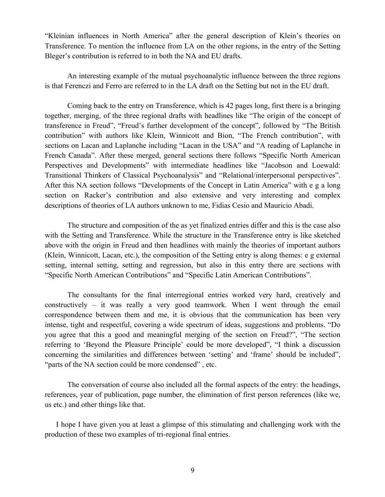"Kleinian influences in North America" after the general description of Klein's theories on Transference. To mention the influence from LA on the other regions, in the entry of the Setting Bleger's contribution is referred to in both the NA and EU drafts.

An interesting example of the mutual psychoanalytic influence between the three regions is that Ferenczi and Ferro are referred to in the LA draft on the Setting but not in the EU draft.

Coming back to the entry on Transference, which is 42 pages long, first there is a bringing together, merging, of the three regional drafts with headlines like "The origin of the concept of transference in Freud", "Freud's further development of the concept", followed by "The British contribution" with authors like Klein, Winnicott and Bion, "The French contribution", with sections on Lacan and Laplanche including "Lacan in the USA" and "A reading of Laplanche in French Canada". After these merged, general sections there follows "Specific North American Perspectives and Developments" with intermediate headlines like "Jacobson and Loewald: Transitional Thinkers of Classical Psychoanalysis" and "Relational/interpersonal perspectives". After this NA section follows "Developments of the Concept in Latin America" with e g a long section on Racker's contribution and also extensive and very interesting and complex descriptions of theories of LA authors unknown to me, Fidias Cesio and Mauricio Abadi.

The structure and composition of the as yet finalized entries differ and this is the case also with the Setting and Transference. While the structure in the Transference entry is like sketched above with the origin in Freud and then headlines with mainly the theories of important authors (Klein, Winnicott, Lacan, etc.), the composition of the Setting entry is along themes: e g external setting, internal setting, setting and regression, but also in this entry there are sections with "Specific North American Contributions" and "Specific Latin American Contributions".

The consultants for the final interregional entries worked very hard, creatively and constructively – it was really a very good teamwork. When I went through the email correspondence between them and me, it is obvious that the communication has been very intense, tight and respectful, covering a wide spectrum of ideas, suggestions and problems. "Do you agree that this a good and meaningful merging of the section on Freud?", "The section referring to 'Beyond the Pleasure Principle' could be more developed", "I think a discussion concerning the similarities and differences between 'setting' and 'frame' should be included", "parts of the NA section could be more condensed" , etc.

The conversation of course also included all the formal aspects of the entry: the headings, references, year of publication, page number, the elimination of first person references (like we, us etc.) and other things like that.

I hope I have given you at least a glimpse of this stimulating and challenging work with the production of these two examples of tri-regional final entries.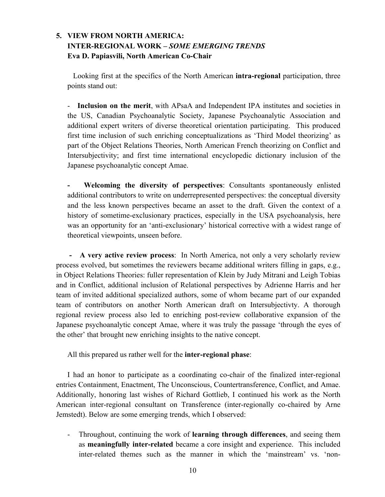## **5. VIEW FROM NORTH AMERICA: INTER-REGIONAL WORK –** *SOME EMERGING TRENDS* **Eva D. Papiasvili, North American Co-Chair**

 Looking first at the specifics of the North American **intra-regional** participation, three points stand out:

- **Inclusion on the merit**, with APsaA and Independent IPA institutes and societies in the US, Canadian Psychoanalytic Society, Japanese Psychoanalytic Association and additional expert writers of diverse theoretical orientation participating. This produced first time inclusion of such enriching conceptualizations as 'Third Model theorizing' as part of the Object Relations Theories, North American French theorizing on Conflict and Intersubjectivity; and first time international encyclopedic dictionary inclusion of the Japanese psychoanalytic concept Amae.

**- Welcoming the diversity of perspectives**: Consultants spontaneously enlisted additional contributors to write on underrepresented perspectives: the conceptual diversity and the less known perspectives became an asset to the draft. Given the context of a history of sometime-exclusionary practices, especially in the USA psychoanalysis, here was an opportunity for an 'anti-exclusionary' historical corrective with a widest range of theoretical viewpoints, unseen before.

 **- A very active review process**: In North America, not only a very scholarly review process evolved, but sometimes the reviewers became additional writers filling in gaps, e.g., in Object Relations Theories: fuller representation of Klein by Judy Mitrani and Leigh Tobias and in Conflict, additional inclusion of Relational perspectives by Adrienne Harris and her team of invited additional specialized authors, some of whom became part of our expanded team of contributors on another North American draft on Intersubjectivty. A thorough regional review process also led to enriching post-review collaborative expansion of the Japanese psychoanalytic concept Amae, where it was truly the passage 'through the eyes of the other' that brought new enriching insights to the native concept.

All this prepared us rather well for the **inter-regional phase**:

I had an honor to participate as a coordinating co-chair of the finalized inter-regional entries Containment, Enactment, The Unconscious, Countertransference, Conflict, and Amae. Additionally, honoring last wishes of Richard Gottlieb, I continued his work as the North American inter-regional consultant on Transference (inter-regionally co-chaired by Arne Jemstedt). Below are some emerging trends, which I observed:

- Throughout, continuing the work of **learning through differences**, and seeing them as **meaningfully inter-related** became a core insight and experience. This included inter-related themes such as the manner in which the 'mainstream' vs. 'non